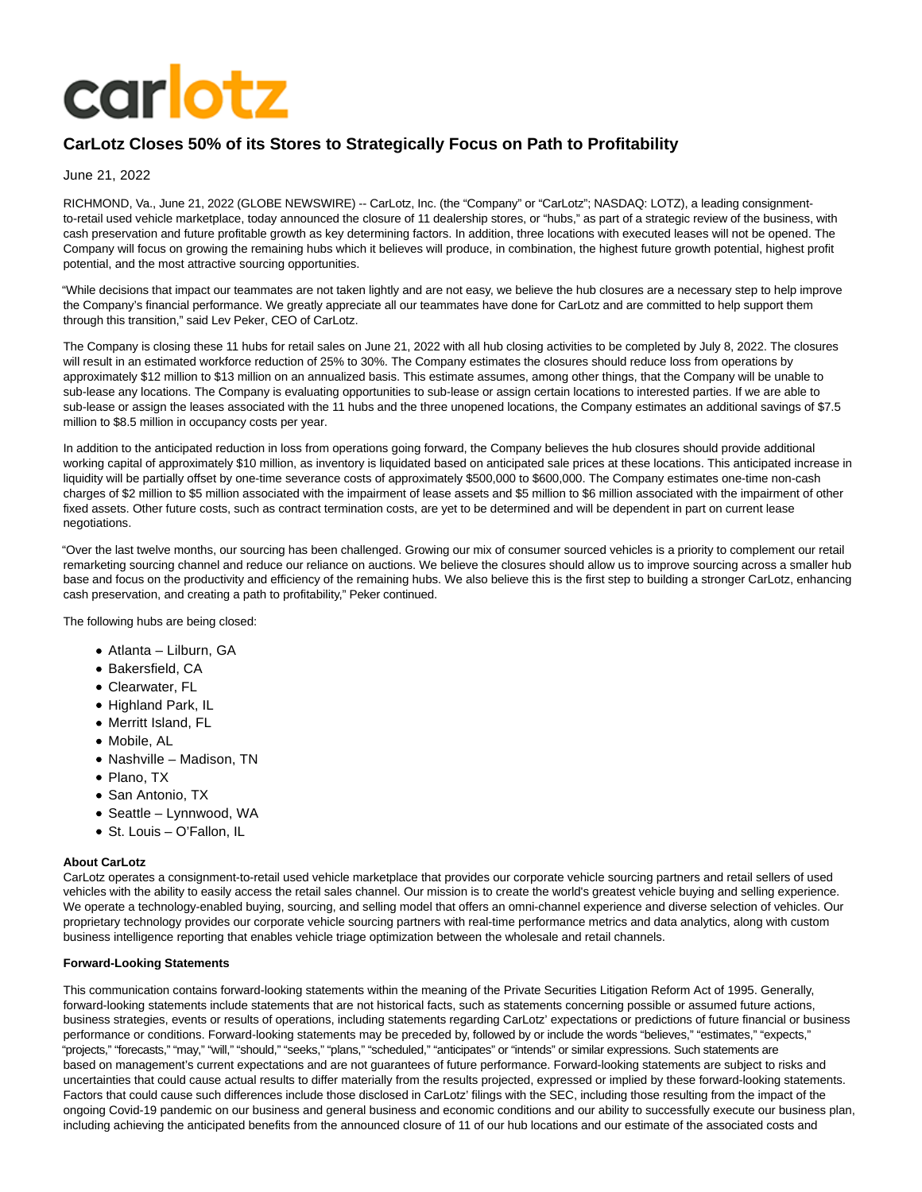# **carlotz**

# **CarLotz Closes 50% of its Stores to Strategically Focus on Path to Profitability**

## June 21, 2022

RICHMOND, Va., June 21, 2022 (GLOBE NEWSWIRE) -- CarLotz, Inc. (the "Company" or "CarLotz"; NASDAQ: LOTZ), a leading consignmentto-retail used vehicle marketplace, today announced the closure of 11 dealership stores, or "hubs," as part of a strategic review of the business, with cash preservation and future profitable growth as key determining factors. In addition, three locations with executed leases will not be opened. The Company will focus on growing the remaining hubs which it believes will produce, in combination, the highest future growth potential, highest profit potential, and the most attractive sourcing opportunities.

"While decisions that impact our teammates are not taken lightly and are not easy, we believe the hub closures are a necessary step to help improve the Company's financial performance. We greatly appreciate all our teammates have done for CarLotz and are committed to help support them through this transition," said Lev Peker, CEO of CarLotz.

The Company is closing these 11 hubs for retail sales on June 21, 2022 with all hub closing activities to be completed by July 8, 2022. The closures will result in an estimated workforce reduction of 25% to 30%. The Company estimates the closures should reduce loss from operations by approximately \$12 million to \$13 million on an annualized basis. This estimate assumes, among other things, that the Company will be unable to sub-lease any locations. The Company is evaluating opportunities to sub-lease or assign certain locations to interested parties. If we are able to sub-lease or assign the leases associated with the 11 hubs and the three unopened locations, the Company estimates an additional savings of \$7.5 million to \$8.5 million in occupancy costs per year.

In addition to the anticipated reduction in loss from operations going forward, the Company believes the hub closures should provide additional working capital of approximately \$10 million, as inventory is liquidated based on anticipated sale prices at these locations. This anticipated increase in liquidity will be partially offset by one-time severance costs of approximately \$500,000 to \$600,000. The Company estimates one-time non-cash charges of \$2 million to \$5 million associated with the impairment of lease assets and \$5 million to \$6 million associated with the impairment of other fixed assets. Other future costs, such as contract termination costs, are yet to be determined and will be dependent in part on current lease negotiations.

"Over the last twelve months, our sourcing has been challenged. Growing our mix of consumer sourced vehicles is a priority to complement our retail remarketing sourcing channel and reduce our reliance on auctions. We believe the closures should allow us to improve sourcing across a smaller hub base and focus on the productivity and efficiency of the remaining hubs. We also believe this is the first step to building a stronger CarLotz, enhancing cash preservation, and creating a path to profitability," Peker continued.

The following hubs are being closed:

- Atlanta Lilburn, GA
- Bakersfield, CA
- Clearwater, FL
- Highland Park, IL
- Merritt Island, FL
- Mobile, AL
- Nashville Madison, TN
- Plano, TX
- San Antonio, TX
- Seattle Lynnwood, WA
- St. Louis O'Fallon, IL

#### **About CarLotz**

CarLotz operates a consignment-to-retail used vehicle marketplace that provides our corporate vehicle sourcing partners and retail sellers of used vehicles with the ability to easily access the retail sales channel. Our mission is to create the world's greatest vehicle buying and selling experience. We operate a technology-enabled buying, sourcing, and selling model that offers an omni-channel experience and diverse selection of vehicles. Our proprietary technology provides our corporate vehicle sourcing partners with real-time performance metrics and data analytics, along with custom business intelligence reporting that enables vehicle triage optimization between the wholesale and retail channels.

#### **Forward-Looking Statements**

This communication contains forward-looking statements within the meaning of the Private Securities Litigation Reform Act of 1995. Generally, forward-looking statements include statements that are not historical facts, such as statements concerning possible or assumed future actions, business strategies, events or results of operations, including statements regarding CarLotz' expectations or predictions of future financial or business performance or conditions. Forward-looking statements may be preceded by, followed by or include the words "believes," "estimates," "expects," "projects," "forecasts," "may," "will," "should," "seeks," "plans," "scheduled," "anticipates" or "intends" or similar expressions. Such statements are based on management's current expectations and are not guarantees of future performance. Forward-looking statements are subject to risks and uncertainties that could cause actual results to differ materially from the results projected, expressed or implied by these forward-looking statements. Factors that could cause such differences include those disclosed in CarLotz' filings with the SEC, including those resulting from the impact of the ongoing Covid-19 pandemic on our business and general business and economic conditions and our ability to successfully execute our business plan, including achieving the anticipated benefits from the announced closure of 11 of our hub locations and our estimate of the associated costs and